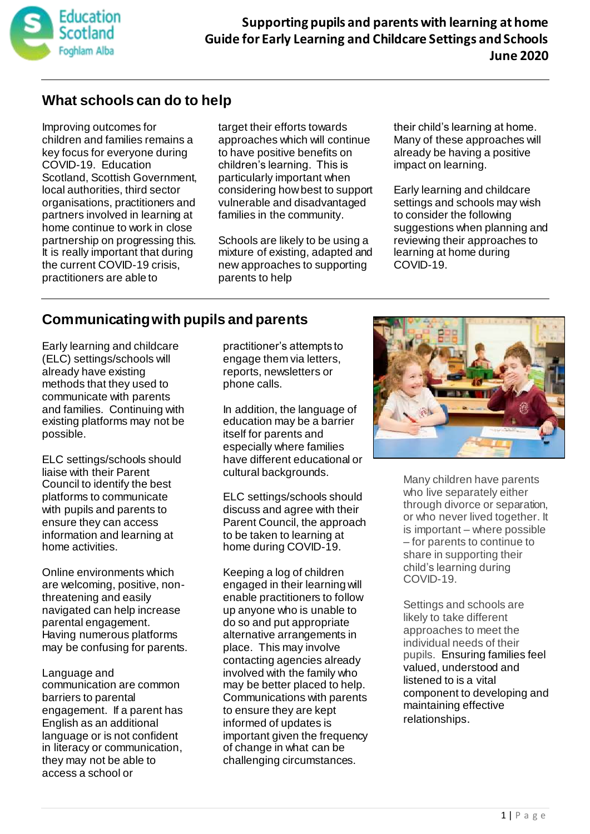

### **What schools can do to help**

Improving outcomes for children and families remains a key focus for everyone during COVID-19. Education Scotland, Scottish Government, local authorities, third sector organisations, practitioners and partners involved in learning at home continue to work in close partnership on progressing this. It is really important that during the current COVID-19 crisis, practitioners are able to

target their efforts towards approaches which will continue to have positive benefits on children's learning. This is particularly important when considering how best to support vulnerable and disadvantaged families in the community.

Schools are likely to be using a mixture of existing, adapted and new approaches to supporting parents to help

their child's learning at home. Many of these approaches will already be having a positive impact on learning.

Early learning and childcare settings and schools may wish to consider the following suggestions when planning and reviewing their approaches to learning at home during COVID-19.

## **Communicating with pupils and parents**

Early learning and childcare (ELC) settings/schools will already have existing methods that they used to communicate with parents and families. Continuing with existing platforms may not be possible.

ELC settings/schools should liaise with their Parent Council to identify the best platforms to communicate with pupils and parents to ensure they can access information and learning at home activities.

Online environments which are welcoming, positive, nonthreatening and easily navigated can help increase parental engagement. Having numerous platforms may be confusing for parents.

Language and communication are common barriers to parental engagement. If a parent has English as an additional language or is not confident in literacy or communication, they may not be able to access a school or

practitioner's attempts to engage them via letters, reports, newsletters or phone calls.

In addition, the language of education may be a barrier itself for parents and especially where families have different educational or cultural backgrounds.

ELC settings/schools should discuss and agree with their Parent Council, the approach to be taken to learning at home during COVID-19.

Keeping a log of children engaged in their learning will enable practitioners to follow up anyone who is unable to do so and put appropriate alternative arrangements in place. This may involve contacting agencies already involved with the family who may be better placed to help. Communications with parents to ensure they are kept informed of updates is important given the frequency of change in what can be challenging circumstances.



Many children have parents who live separately either through divorce or separation, or who never lived together. It is important – where possible – for parents to continue to share in supporting their child's learning during COVID-19.

Settings and schools are likely to take different approaches to meet the individual needs of their pupils. Ensuring families feel valued, understood and listened to is a vital component to developing and maintaining effective relationships.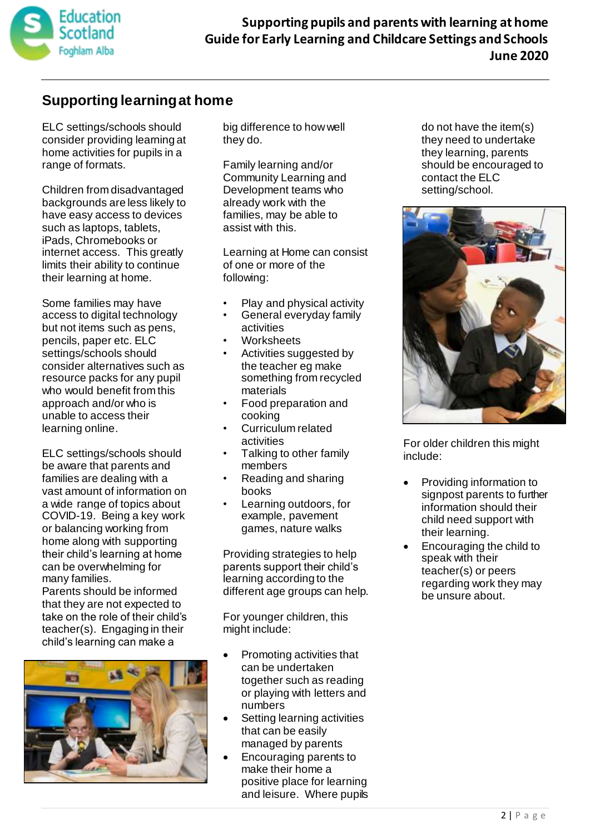

### **Supporting learning at home**

ELC settings/schools should consider providing learning at home activities for pupils in a range of formats.

Children from disadvantaged backgrounds are less likely to have easy access to devices such as laptops, tablets, iPads, Chromebooks or internet access. This greatly limits their ability to continue their learning at home.

Some families may have access to digital technology but not items such as pens, pencils, paper etc. ELC settings/schools should consider alternatives such as resource packs for any pupil who would benefit from this approach and/or who is unable to access their learning online.

ELC settings/schools should be aware that parents and families are dealing with a vast amount of information on a wide range of topics about COVID-19. Being a key work or balancing working from home along with supporting their child's learning at home can be overwhelming for many families.

Parents should be informed that they are not expected to take on the role of their child's teacher(s). Engaging in their child's learning can make a



big difference to how well they do.

Family learning and/or Community Learning and Development teams who already work with the families, may be able to assist with this.

Learning at Home can consist of one or more of the following:

- Play and physical activity
- General everyday family activities
- **Worksheets**
- Activities suggested by the teacher eg make something from recycled materials
- Food preparation and cooking
- Curriculum related activities
- Talking to other family members
- Reading and sharing books
- Learning outdoors, for example, pavement games, nature walks

Providing strategies to help parents support their child's learning according to the different age groups can help.

For younger children, this might include:

- Promoting activities that can be undertaken together such as reading or playing with letters and numbers
- Setting learning activities that can be easily managed by parents
- Encouraging parents to make their home a positive place for learning and leisure. Where pupils

do not have the item(s) they need to undertake they learning, parents should be encouraged to contact the ELC setting/school.



For older children this might include:

- Providing information to signpost parents to further information should their child need support with their learning.
- Encouraging the child to speak with their teacher(s) or peers regarding work they may be unsure about.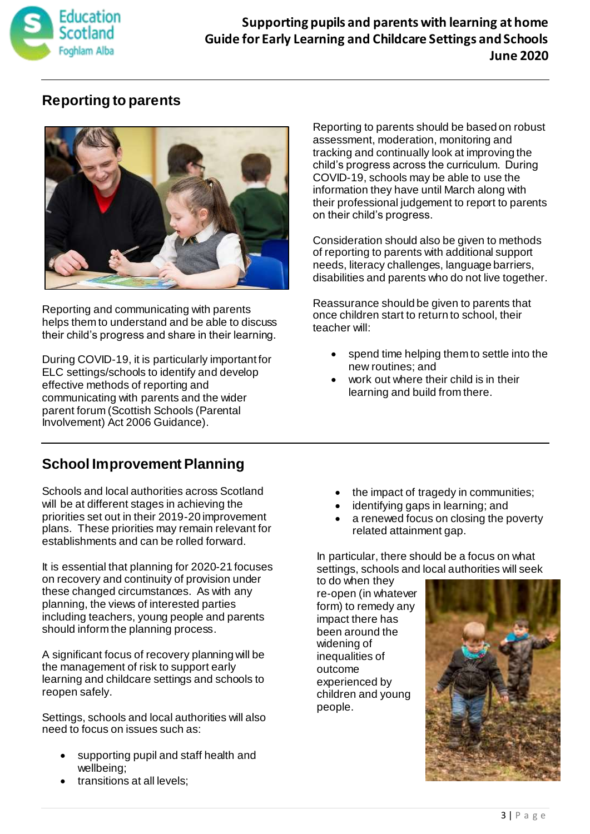

### **Supporting pupils and parents with learning at home Guide for Early Learning and Childcare Settings and Schools June 2020**

## **Reporting to parents**



Reporting and communicating with parents helps them to understand and be able to discuss their child's progress and share in their learning.

During COVID-19, it is particularly important for ELC settings/schools to identify and develop effective methods of reporting and communicating with parents and the wider parent forum (Scottish Schools (Parental Involvement) Act 2006 Guidance).

Reporting to parents should be based on robust assessment, moderation, monitoring and tracking and continually look at improving the child's progress across the curriculum. During COVID-19, schools may be able to use the information they have until March along with their professional judgement to report to parents on their child's progress.

Consideration should also be given to methods of reporting to parents with additional support needs, literacy challenges, language barriers, disabilities and parents who do not live together.

Reassurance should be given to parents that once children start to return to school, their teacher will:

- spend time helping them to settle into the new routines; and
- work out where their child is in their learning and build from there.

# **School Improvement Planning**

Schools and local authorities across Scotland will be at different stages in achieving the priorities set out in their 2019-20 improvement plans. These priorities may remain relevant for establishments and can be rolled forward.

It is essential that planning for 2020-21 focuses on recovery and continuity of provision under these changed circumstances. As with any planning, the views of interested parties including teachers, young people and parents should inform the planning process.

A significant focus of recovery planning will be the management of risk to support early learning and childcare settings and schools to reopen safely.

Settings, schools and local authorities will also need to focus on issues such as:

- supporting pupil and staff health and wellbeing;
- transitions at all levels;
- the impact of tragedy in communities;
- identifying gaps in learning; and
- a renewed focus on closing the poverty related attainment gap.

In particular, there should be a focus on what settings, schools and local authorities will seek

to do when they re-open (in whatever form) to remedy any impact there has been around the widening of inequalities of outcome experienced by children and young people.